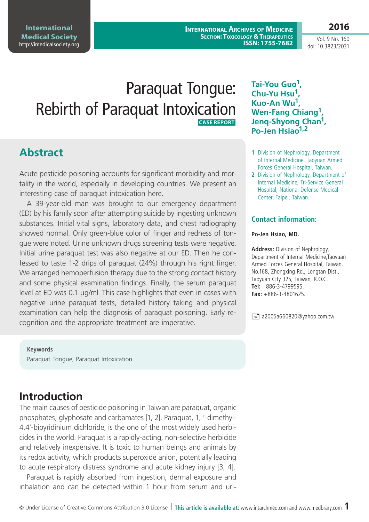**International Archives of Medicine SECTION: TOXICOLOGY & THERAPEUTICS ISSN: 1755-7682**

Vol. 9 No. 160 doi: 10.3823/2031

**2016**

# Paraquat Tongue: Rebirth of Paraquat Intoxication  **CASE REPORT**

### **Abstract**

Acute pesticide poisoning accounts for significant morbidity and mortality in the world, especially in developing countries. We present an interesting case of paraquat intoxication here.

A 39-year-old man was brought to our emergency department (ED) by his family soon after attempting suicide by ingesting unknown substances. Initial vital signs, laboratory data, and chest radiography showed normal. Only green-blue color of finger and redness of tongue were noted. Urine unknown drugs screening tests were negative. Initial urine paraquat test was also negative at our ED. Then he confessed to taste 1-2 drips of paraquat (24%) through his right finger. We arranged hemoperfusion therapy due to the strong contact history and some physical examination findings. Finally, the serum paraquat level at ED was 0.1 μg/ml. This case highlights that even in cases with negative urine paraquat tests, detailed history taking and physical examination can help the diagnosis of paraquat poisoning. Early recognition and the appropriate treatment are imperative.

#### **Keywords**

Paraquat Tongue; Paraquat Intoxication.

# **Introduction**

The main causes of pesticide poisoning in Taiwan are paraquat, organic phosphates, glyphosate and carbamates [1, 2]. Paraquat, 1, '-dimethyl-4,4'-bipyridinium dichloride, is the one of the most widely used herbicides in the world. Paraquat is a rapidly-acting, non-selective herbicide and relatively inexpensive. It is toxic to human beings and animals by its redox activity, which products superoxide anion, potentially leading to acute respiratory distress syndrome and acute kidney injury [3, 4].

Paraquat is rapidly absorbed from ingestion, dermal exposure and inhalation and can be detected within 1 hour from serum and uri**Tai-You Guo1, Chu-Yu Hsu1, Kuo-An Wu1, Wen-Fang Chiang1, Jenq-Shyong Chan1, Po-Jen Hsiao1,2**

- **1** Division of Nephrology, Department of Internal Medicine, Taoyuan Armed Forces General Hospital, Taiwan.
- **2** Division of Nephrology, Department of Internal Medicine, Tri-Service General Hospital, National Defense Medical Center, Taipei, Taiwan.

#### **Contact information:**

#### **Po-Jen Hsiao, MD.**

**Address:** Division of Nephrology, Department of Internal Medicine,Taoyuan Armed Forces General Hospital, Taiwan. No.168, Zhongxing Rd., Longtan Dist., Taoyuan City 325, Taiwan, R.O.C. **Tel:** +886-3-4799595. **Fax:** +886-3-4801625.

 $\equiv$  a2005a660820@yahoo.com.tw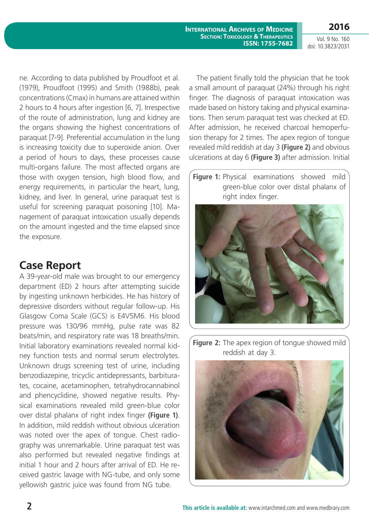**2016**

Vol. 9 No. 160 doi: 10.3823/2031

ne. According to data published by Proudfoot et al. (1979), Proudfoot (1995) and Smith (1988b), peak concentrations (Cmax) in humans are attained within 2 hours to 4 hours after ingestion [6, 7]. Irrespective of the route of administration, lung and kidney are the organs showing the highest concentrations of paraquat [7-9]. Preferential accumulation in the lung is increasing toxicity due to superoxide anion. Over a period of hours to days, these processes cause multi-organs failure. The most affected organs are those with oxygen tension, high blood flow, and energy requirements, in particular the heart, lung, kidney, and liver. In general, urine paraquat test is useful for screening paraquat poisoning [10]. Management of paraquat intoxication usually depends on the amount ingested and the time elapsed since the exposure.

### **Case Report**

A 39-year-old male was brought to our emergency department (ED) 2 hours after attempting suicide by ingesting unknown herbicides. He has history of depressive disorders without regular follow-up. His Glasgow Coma Scale (GCS) is E4V5M6. His blood pressure was 130/96 mmHg, pulse rate was 82 beats/min, and respiratory rate was 18 breaths/min. Initial laboratory examinations revealed normal kidney function tests and normal serum electrolytes. Unknown drugs screening test of urine, including benzodiazepine, tricyclic antidepressants, barbiturates, cocaine, acetaminophen, tetrahydrocannabinol and phencyclidine, showed negative results. Physical examinations revealed mild green-blue color over distal phalanx of right index finger **(Figure 1)**. In addition, mild reddish without obvious ulceration was noted over the apex of tongue. Chest radiography was unremarkable. Urine paraquat test was also performed but revealed negative findings at initial 1 hour and 2 hours after arrival of ED. He received gastric lavage with NG-tube, and only some yellowish gastric juice was found from NG tube.

The patient finally told the physician that he took a small amount of paraquat (24%) through his right finger. The diagnosis of paraquat intoxication was made based on history taking and physical examinations. Then serum paraquat test was checked at ED. After admission, he received charcoal hemoperfusion therapy for 2 times. The apex region of tongue revealed mild reddish at day 3 **(Figure 2)** and obvious ulcerations at day 6 **(Figure 3)** after admission. Initial

**Figure 1:** Physical examinations showed mild green-blue color over distal phalanx of right index finger.



**Figure 2:** The apex region of tongue showed mild reddish at day 3.

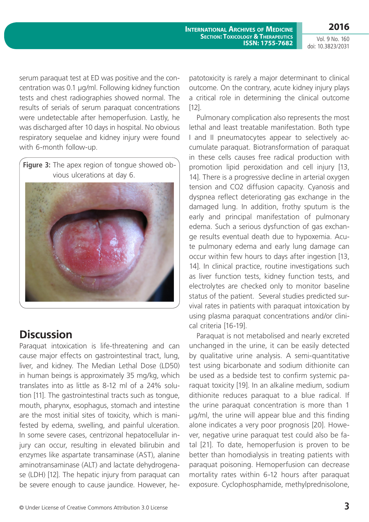**2016**

Vol. 9 No. 160 doi: 10.3823/2031

serum paraquat test at ED was positive and the concentration was 0.1 μg/ml. Following kidney function tests and chest radiographies showed normal. The results of serials of serum paraquat concentrations were undetectable after hemoperfusion. Lastly, he was discharged after 10 days in hospital. No obvious respiratory sequelae and kidney injury were found with 6-month follow-up.

**Figure 3:** The apex region of tongue showed obvious ulcerations at day 6.



# **Discussion**

Paraquat intoxication is life-threatening and can cause major effects on gastrointestinal tract, lung, liver, and kidney. The Median Lethal Dose (LD50) in human beings is approximately 35 mg/kg, which translates into as little as 8-12 ml of a 24% solution [11]. The gastrointestinal tracts such as tongue, mouth, pharynx, esophagus, stomach and intestine are the most initial sites of toxicity, which is manifested by edema, swelling, and painful ulceration. In some severe cases, centrizonal hepatocellular injury can occur, resulting in elevated bilirubin and enzymes like aspartate transaminase (AST), alanine aminotransaminase (ALT) and lactate dehydrogenase (LDH) [12]. The hepatic injury from paraquat can be severe enough to cause jaundice. However, hepatotoxicity is rarely a major determinant to clinical outcome. On the contrary, acute kidney injury plays a critical role in determining the clinical outcome [12].

Pulmonary complication also represents the most lethal and least treatable manifestation. Both type I and II pneumatocytes appear to selectively accumulate paraquat. Biotransformation of paraquat in these cells causes free radical production with promotion lipid peroxidation and cell injury [13, 14]. There is a progressive decline in arterial oxygen tension and CO2 diffusion capacity. Cyanosis and dyspnea reflect deteriorating gas exchange in the damaged lung. In addition, frothy sputum is the early and principal manifestation of pulmonary edema. Such a serious dysfunction of gas exchange results eventual death due to hypoxemia. Acute pulmonary edema and early lung damage can occur within few hours to days after ingestion [13, 14]. In clinical practice, routine investigations such as liver function tests, kidney function tests, and electrolytes are checked only to monitor baseline status of the patient. Several studies predicted survival rates in patients with paraquat intoxication by using plasma paraquat concentrations and/or clinical criteria [16-19].

Paraquat is not metabolised and nearly excreted unchanged in the urine, it can be easily detected by qualitative urine analysis. A semi-quantitative test using bicarbonate and sodium dithionite can be used as a bedside test to confirm systemic paraquat toxicity [19]. In an alkaline medium, sodium dithionite reduces paraquat to a blue radical. If the urine paraquat concentration is more than 1 μg/ml, the urine will appear blue and this finding alone indicates a very poor prognosis [20]. However, negative urine paraquat test could also be fatal [21]. To date, hemoperfusion is proven to be better than homodialysis in treating patients with paraquat poisoning. Hemoperfusion can decrease mortality rates within 6-12 hours after paraquat exposure. Cyclophosphamide, methylprednisolone,